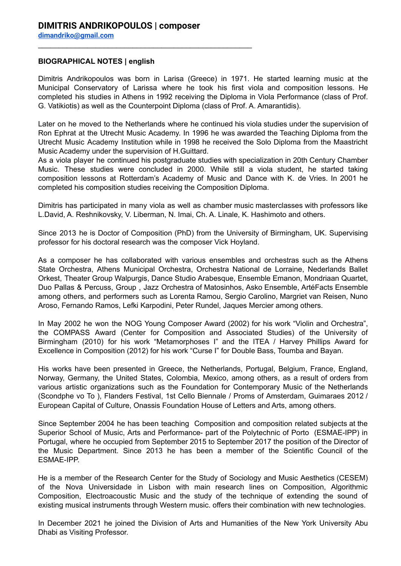## **BIOGRAPHICAL NOTES | english**

Dimitris Andrikopoulos was born in Larisa (Greece) in 1971. He started learning music at the Municipal Conservatory of Larissa where he took his first viola and composition lessons. He completed his studies in Athens in 1992 receiving the Diploma in Viola Performance (class of Prof. G. Vatikiotis) as well as the Counterpoint Diploma (class of Prof. A. Amarantidis).

Later on he moved to the Netherlands where he continued his viola studies under the supervision of Ron Ephrat at the Utrecht Music Academy. In 1996 he was awarded the Teaching Diploma from the Utrecht Music Academy Institution while in 1998 he received the Solo Diploma from the Maastricht Music Academy under the supervision of H.Guittard.

As a viola player he continued his postgraduate studies with specialization in 20th Century Chamber Music. These studies were concluded in 2000. While still a viola student, he started taking composition lessons at Rotterdam's Academy of Music and Dance with K. de Vries. In 2001 he completed his composition studies receiving the Composition Diploma.

Dimitris has participated in many viola as well as chamber music masterclasses with professors like L.David, A. Reshnikovsky, V. Liberman, N. Imai, Ch. A. Linale, K. Hashimoto and others.

Since 2013 he is Doctor of Composition (PhD) from the University of Birmingham, UK. Supervising professor for his doctoral research was the composer Vick Hoyland.

As a composer he has collaborated with various ensembles and orchestras such as the Athens State Orchestra, Athens Municipal Orchestra, Orchestra National de Lorraine, Nederlands Ballet Orkest, Theater Group Walpurgis, Dance Studio Arabesque, Ensemble Emanon, Mondriaan Quartet, Duo Pallas & Percuss, Group , Jazz Orchestra of Matosinhos, Asko Ensemble, ArtéFacts Ensemble among others, and performers such as Lorenta Ramou, Sergio Carolino, Margriet van Reisen, Nuno Aroso, Fernando Ramos, Lefki Karpodini, Peter Rundel, Jaques Mercier among others.

In May 2002 he won the NOG Young Composer Award (2002) for his work "Violin and Orchestra", the COMPASS Award (Center for Composition and Associated Studies) of the University of Birmingham (2010) for his work "Metamorphoses I" and the ITEA / Harvey Phillips Award for Excellence in Composition (2012) for his work "Curse I" for Double Bass, Toumba and Bayan.

His works have been presented in Greece, the Netherlands, Portugal, Belgium, France, England, Norway, Germany, the United States, Colombia, Mexico, among others, as a result of orders from various artistic organizations such as the Foundation for Contemporary Music of the Netherlands (Scondphe vo To ), Flanders Festival, 1st Cello Biennale / Proms of Amsterdam, Guimaraes 2012 / European Capital of Culture, Onassis Foundation House of Letters and Arts, among others.

Since September 2004 he has been teaching Composition and composition related subjects at the Superior School of Music, Arts and Performance- part of the Polytechnic of Porto (ESMAE-IPP) in Portugal, where he occupied from September 2015 to September 2017 the position of the Director of the Music Department. Since 2013 he has been a member of the Scientific Council of the ESMAE-IPP.

He is a member of the Research Center for the Study of Sociology and Music Aesthetics (CESEM) of the Nova Universidade in Lisbon with main research lines on Composition, Algorithmic Composition, Electroacoustic Music and the study of the technique of extending the sound of existing musical instruments through Western music, offers their combination with new technologies.

In December 2021 he joined the Division of Arts and Humanities of the New York University Abu Dhabi as Visiting Professor.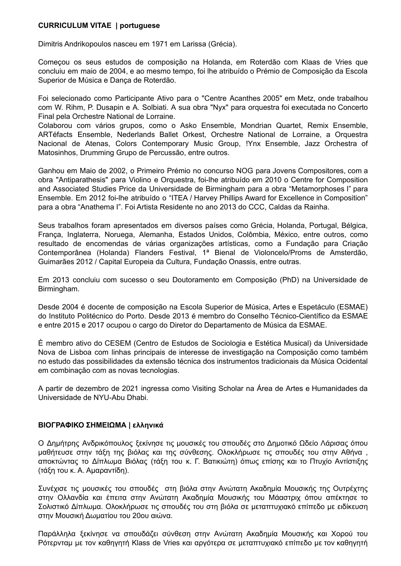## **CURRICULUM VITAE | portuguese**

Dimitris Andrikopoulos nasceu em 1971 em Larissa (Grécia).

Começou os seus estudos de composição na Holanda, em Roterdão com Klaas de Vries que concluiu em maio de 2004, e ao mesmo tempo, foi lhe atribuído o Prémio de Composição da Escola Superior de Música e Dança de Roterdão.

Foi selecionado como Participante Ativo para o "Centre Acanthes 2005" em Metz, onde trabalhou com W. Rihm, P. Dusapin e A. Solbiati. A sua obra "Nyx" para orquestra foi executada no Concerto Final pela Orchestre National de Lorraine.

Colaborou com vários grupos, como o Asko Ensemble, Mondrian Quartet, Remix Ensemble, ARTéfacts Ensemble, Nederlands Ballet Orkest, Orchestre National de Lorraine, a Orquestra Nacional de Atenas, Colors Contemporary Music Group, !Ynx Ensemble, Jazz Orchestra of Matosinhos, Drumming Grupo de Percussão, entre outros.

Ganhou em Maio de 2002, o Primeiro Prémio no concurso NOG para Jovens Compositores, com a obra "Antiparathesis" para Violino e Orquestra, foi-lhe atribuído em 2010 o Centre for Composition and Associated Studies Price da Universidade de Birmingham para a obra "Metamorphoses I" para Ensemble. Em 2012 foi-lhe atribuído o "ITEA / Harvey Phillips Award for Excellence in Composition" para a obra "Anathema I". Foi Artista Residente no ano 2013 do CCC, Caldas da Rainha.

Seus trabalhos foram apresentados em diversos países como Grécia, Holanda, Portugal, Bélgica, França, Inglaterra, Noruega, Alemanha, Estados Unidos, Colômbia, México, entre outros, como resultado de encomendas de várias organizações artísticas, como a Fundação para Criação Contemporânea (Holanda) Flanders Festival, 1ª Bienal de Violoncelo/Proms de Amsterdão, Guimarães 2012 / Capital Europeia da Cultura, Fundação Onassis, entre outras.

Em 2013 concluiu com sucesso o seu Doutoramento em Composição (PhD) na Universidade de Birmingham.

Desde 2004 é docente de composição na Escola Superior de Música, Artes e Espetáculo (ESMAE) do Instituto Politécnico do Porto. Desde 2013 é membro do Conselho Técnico-Científico da ESMAE e entre 2015 e 2017 ocupou o cargo do Diretor do Departamento de Música da ESMAE.

È membro ativo do CESEM (Centro de Estudos de Sociologia e Estética Musical) da Universidade Nova de Lisboa com linhas principais de interesse de investigação na Composição como também no estudo das possibilidades da extensão técnica dos instrumentos tradicionais da Música Ocidental em combinação com as novas tecnologias.

A partir de dezembro de 2021 ingressa como Visiting Scholar na Área de Artes e Humanidades da Universidade de NYU-Abu Dhabi.

## **ΒΙΟΓΡΑΦΙΚΟ ΣΗΜΕΙΩΜΑ | ελληνικά**

Ο Δημήτρης Ανδρικόπουλος ξεκίνησε τις μουσικές του σπουδές στο Δημοτικό Ωδείο Λάρισας όπου μαθήτευσε στην τάξη της βιόλας και της σύνθεσης. Ολοκλήρωσε τις σπουδές του στην Αθήνα , αποκτώντας το Δίπλωμα Βιόλας (τάξη του κ. Γ. Βατικιώτη) όπως επίσης και το Πτυχίο Αντίστιξης (τάξη του κ. Α. Αμαραντίδη).

Συνέχισε τις μουσικές του σπουδές στη βιόλα στην Ανώτατη Ακαδημία Μουσικής της Ουτρέχτης στην Ολλανδία και έπειτα στην Ανώτατη Ακαδημία Μουσικής του Μάαστριχ όπου απέκτησε το Σολιστικό Δίπλωμα. Ολοκλήρωσε τις σπουδές του στη βιόλα σε μεταπτυχιακό επίπεδο με ειδίκευση στην Μουσική Δωματίου του 20ου αιώνα.

Παράλληλα ξεκίνησε να σπουδάζει σύνθεση στην Ανώτατη Ακαδημία Μουσικής και Χορού του Ρότερνταμ με τον καθηγητή Klass de Vries και αργότερα σε μεταπτυχιακό επίπεδο με τον καθηγητή